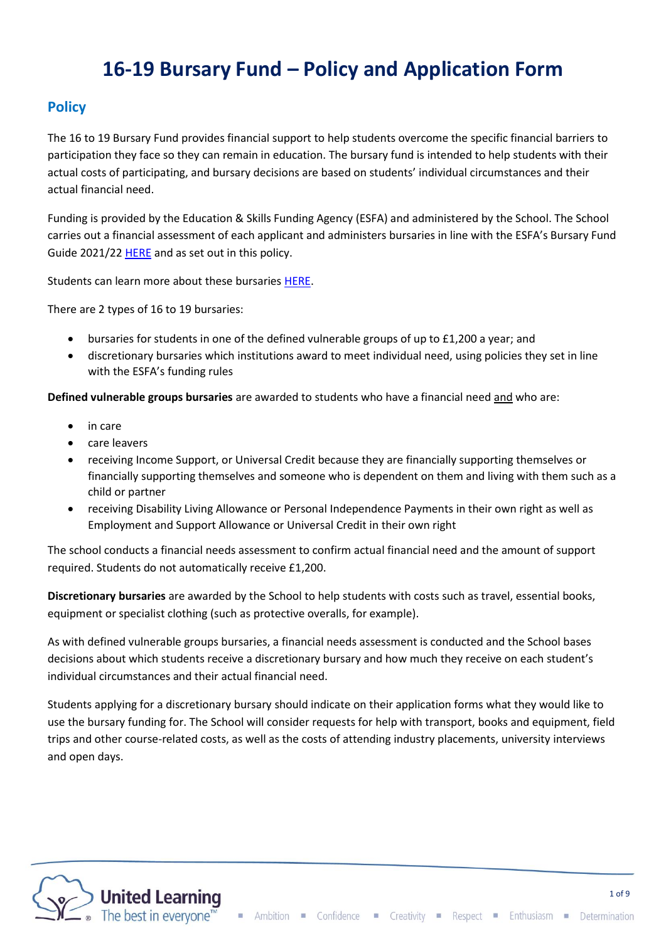# **16-19 Bursary Fund – Policy and Application Form**

# **Policy**

The 16 to 19 Bursary Fund provides financial support to help students overcome the specific financial barriers to participation they face so they can remain in education. The bursary fund is intended to help students with their actual costs of participating, and bursary decisions are based on students' individual circumstances and their actual financial need.

Funding is provided by the Education & Skills Funding Agency (ESFA) and administered by the School. The School carries out a financial assessment of each applicant and administers bursaries in line with the ESFA's Bursary Fund Guide 2021/22 [HERE](https://www.gov.uk/guidance/16-to-19-bursary-fund-guide-2020-to-2021-academic-year#checklist) and as set out in this policy.

Students can learn more about these bursaries [HERE.](https://www.gov.uk/1619-bursary-fund)

There are 2 types of 16 to 19 bursaries:

- bursaries for students in one of the defined vulnerable groups of up to £1,200 a year; and
- discretionary bursaries which institutions award to meet individual need, using policies they set in line with the ESFA's funding rules

**Defined vulnerable groups bursaries** are awarded to students who have a financial need and who are:

- in care
- care leavers
- receiving Income Support, or Universal Credit because they are financially supporting themselves or financially supporting themselves and someone who is dependent on them and living with them such as a child or partner
- receiving Disability Living Allowance or Personal Independence Payments in their own right as well as Employment and Support Allowance or Universal Credit in their own right

The school conducts a financial needs assessment to confirm actual financial need and the amount of support required. Students do not automatically receive £1,200.

**Discretionary bursaries** are awarded by the School to help students with costs such as travel, essential books, equipment or specialist clothing (such as protective overalls, for example).

As with defined vulnerable groups bursaries, a financial needs assessment is conducted and the School bases decisions about which students receive a discretionary bursary and how much they receive on each student's individual circumstances and their actual financial need.

Students applying for a discretionary bursary should indicate on their application forms what they would like to use the bursary funding for. The School will consider requests for help with transport, books and equipment, field trips and other course-related costs, as well as the costs of attending industry placements, university interviews and open days.

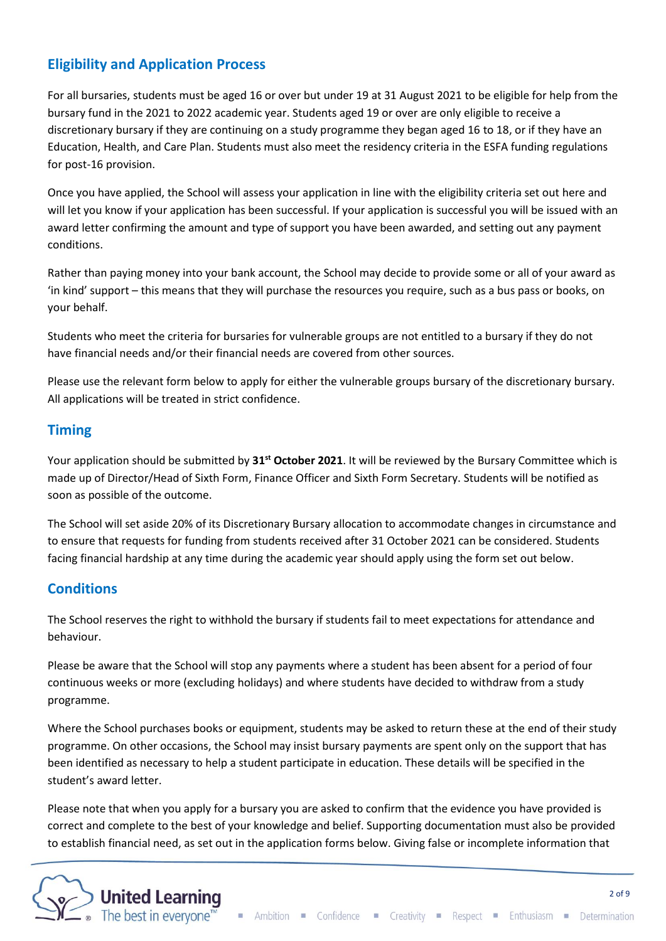# **Eligibility and Application Process**

For all bursaries, students must be aged 16 or over but under 19 at 31 August 2021 to be eligible for help from the bursary fund in the 2021 to 2022 academic year. Students aged 19 or over are only eligible to receive a discretionary bursary if they are continuing on a study programme they began aged 16 to 18, or if they have an Education, Health, and Care Plan. Students must also meet the residency criteria in the ESFA funding regulations for post-16 provision.

Once you have applied, the School will assess your application in line with the eligibility criteria set out here and will let you know if your application has been successful. If your application is successful you will be issued with an award letter confirming the amount and type of support you have been awarded, and setting out any payment conditions.

Rather than paying money into your bank account, the School may decide to provide some or all of your award as 'in kind' support – this means that they will purchase the resources you require, such as a bus pass or books, on your behalf.

Students who meet the criteria for bursaries for vulnerable groups are not entitled to a bursary if they do not have financial needs and/or their financial needs are covered from other sources.

Please use the relevant form below to apply for either the vulnerable groups bursary of the discretionary bursary. All applications will be treated in strict confidence.

# **Timing**

Your application should be submitted by **31st October 2021**. It will be reviewed by the Bursary Committee which is made up of Director/Head of Sixth Form, Finance Officer and Sixth Form Secretary. Students will be notified as soon as possible of the outcome.

The School will set aside 20% of its Discretionary Bursary allocation to accommodate changes in circumstance and to ensure that requests for funding from students received after 31 October 2021 can be considered. Students facing financial hardship at any time during the academic year should apply using the form set out below.

### **Conditions**

The School reserves the right to withhold the bursary if students fail to meet expectations for attendance and behaviour.

Please be aware that the School will stop any payments where a student has been absent for a period of four continuous weeks or more (excluding holidays) and where students have decided to withdraw from a study programme.

Where the School purchases books or equipment, students may be asked to return these at the end of their study programme. On other occasions, the School may insist bursary payments are spent only on the support that has been identified as necessary to help a student participate in education. These details will be specified in the student's award letter.

Please note that when you apply for a bursary you are asked to confirm that the evidence you have provided is correct and complete to the best of your knowledge and belief. Supporting documentation must also be provided to establish financial need, as set out in the application forms below. Giving false or incomplete information that

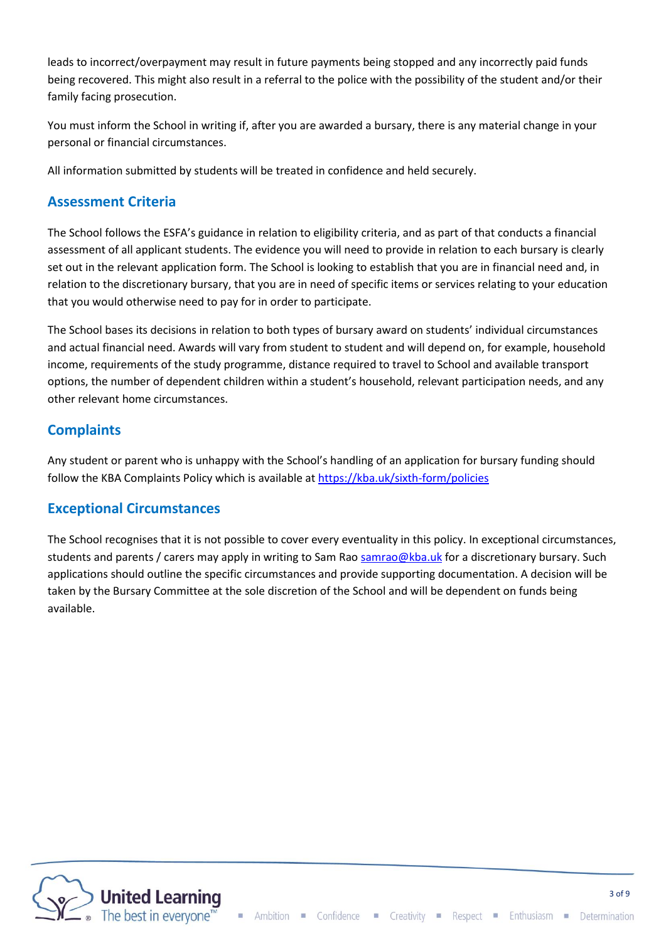leads to incorrect/overpayment may result in future payments being stopped and any incorrectly paid funds being recovered. This might also result in a referral to the police with the possibility of the student and/or their family facing prosecution.

You must inform the School in writing if, after you are awarded a bursary, there is any material change in your personal or financial circumstances.

All information submitted by students will be treated in confidence and held securely.

### **Assessment Criteria**

The School follows the ESFA's guidance in relation to eligibility criteria, and as part of that conducts a financial assessment of all applicant students. The evidence you will need to provide in relation to each bursary is clearly set out in the relevant application form. The School is looking to establish that you are in financial need and, in relation to the discretionary bursary, that you are in need of specific items or services relating to your education that you would otherwise need to pay for in order to participate.

The School bases its decisions in relation to both types of bursary award on students' individual circumstances and actual financial need. Awards will vary from student to student and will depend on, for example, household income, requirements of the study programme, distance required to travel to School and available transport options, the number of dependent children within a student's household, relevant participation needs, and any other relevant home circumstances.

# **Complaints**

Any student or parent who is unhappy with the School's handling of an application for bursary funding should follow the KBA Complaints Policy which is available at <https://kba.uk/sixth-form/policies>

### **Exceptional Circumstances**

The School recognises that it is not possible to cover every eventuality in this policy. In exceptional circumstances, students and parents / carers may apply in writing to Sam Rao [samrao@kba.uk](mailto:samrao@kba.uk) for a discretionary bursary. Such applications should outline the specific circumstances and provide supporting documentation. A decision will be taken by the Bursary Committee at the sole discretion of the School and will be dependent on funds being available.

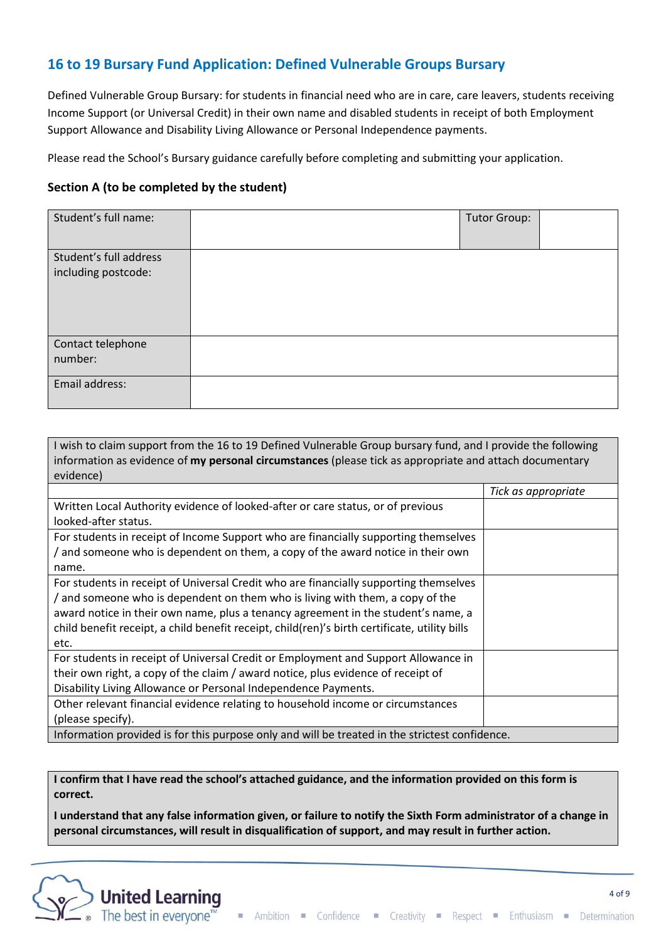# **16 to 19 Bursary Fund Application: Defined Vulnerable Groups Bursary**

Defined Vulnerable Group Bursary: for students in financial need who are in care, care leavers, students receiving Income Support (or Universal Credit) in their own name and disabled students in receipt of both Employment Support Allowance and Disability Living Allowance or Personal Independence payments.

Please read the School's Bursary guidance carefully before completing and submitting your application.

#### **Section A (to be completed by the student)**

| Student's full name:   | <b>Tutor Group:</b> |  |
|------------------------|---------------------|--|
| Student's full address |                     |  |
| including postcode:    |                     |  |
| Contact telephone      |                     |  |
| number:                |                     |  |
| Email address:         |                     |  |

| I wish to claim support from the 16 to 19 Defined Vulnerable Group bursary fund, and I provide the following |                     |  |  |
|--------------------------------------------------------------------------------------------------------------|---------------------|--|--|
| information as evidence of my personal circumstances (please tick as appropriate and attach documentary      |                     |  |  |
| evidence)                                                                                                    |                     |  |  |
|                                                                                                              | Tick as appropriate |  |  |
| Written Local Authority evidence of looked-after or care status, or of previous                              |                     |  |  |
| looked-after status.                                                                                         |                     |  |  |
| For students in receipt of Income Support who are financially supporting themselves                          |                     |  |  |
| / and someone who is dependent on them, a copy of the award notice in their own                              |                     |  |  |
| name.                                                                                                        |                     |  |  |
| For students in receipt of Universal Credit who are financially supporting themselves                        |                     |  |  |
| / and someone who is dependent on them who is living with them, a copy of the                                |                     |  |  |
| award notice in their own name, plus a tenancy agreement in the student's name, a                            |                     |  |  |
| child benefit receipt, a child benefit receipt, child(ren)'s birth certificate, utility bills                |                     |  |  |
| etc.                                                                                                         |                     |  |  |
| For students in receipt of Universal Credit or Employment and Support Allowance in                           |                     |  |  |
| their own right, a copy of the claim / award notice, plus evidence of receipt of                             |                     |  |  |
| Disability Living Allowance or Personal Independence Payments.                                               |                     |  |  |
| Other relevant financial evidence relating to household income or circumstances                              |                     |  |  |
| (please specify).                                                                                            |                     |  |  |
| Information provided is for this purpose only and will be treated in the strictest confidence.               |                     |  |  |

**I confirm that I have read the school's attached guidance, and the information provided on this form is correct.**

**I understand that any false information given, or failure to notify the Sixth Form administrator of a change in personal circumstances, will result in disqualification of support, and may result in further action.**

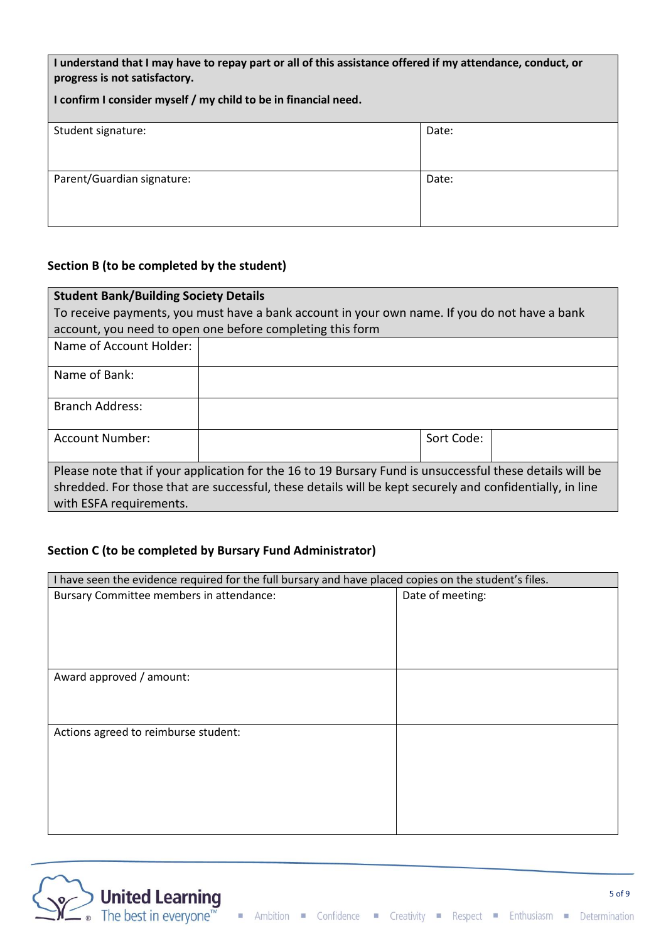**I understand that I may have to repay part or all of this assistance offered if my attendance, conduct, or progress is not satisfactory.**

| I confirm I consider myself / my child to be in financial need. |       |  |
|-----------------------------------------------------------------|-------|--|
| Student signature:                                              | Date: |  |
| Parent/Guardian signature:                                      | Date: |  |

### **Section B (to be completed by the student)**

| <b>Student Bank/Building Society Details</b>                                                                                                                                                                                                    |  |            |  |
|-------------------------------------------------------------------------------------------------------------------------------------------------------------------------------------------------------------------------------------------------|--|------------|--|
| To receive payments, you must have a bank account in your own name. If you do not have a bank                                                                                                                                                   |  |            |  |
| account, you need to open one before completing this form                                                                                                                                                                                       |  |            |  |
| Name of Account Holder:                                                                                                                                                                                                                         |  |            |  |
| Name of Bank:                                                                                                                                                                                                                                   |  |            |  |
| <b>Branch Address:</b>                                                                                                                                                                                                                          |  |            |  |
| <b>Account Number:</b>                                                                                                                                                                                                                          |  | Sort Code: |  |
| Please note that if your application for the 16 to 19 Bursary Fund is unsuccessful these details will be<br>shredded. For those that are successful, these details will be kept securely and confidentially, in line<br>with ESFA requirements. |  |            |  |

#### **Section C (to be completed by Bursary Fund Administrator)**

| I have seen the evidence required for the full bursary and have placed copies on the student's files. |                  |  |
|-------------------------------------------------------------------------------------------------------|------------------|--|
| Bursary Committee members in attendance:                                                              | Date of meeting: |  |
|                                                                                                       |                  |  |
|                                                                                                       |                  |  |
|                                                                                                       |                  |  |
|                                                                                                       |                  |  |
| Award approved / amount:                                                                              |                  |  |
|                                                                                                       |                  |  |
|                                                                                                       |                  |  |
| Actions agreed to reimburse student:                                                                  |                  |  |
|                                                                                                       |                  |  |
|                                                                                                       |                  |  |
|                                                                                                       |                  |  |
|                                                                                                       |                  |  |
|                                                                                                       |                  |  |
|                                                                                                       |                  |  |

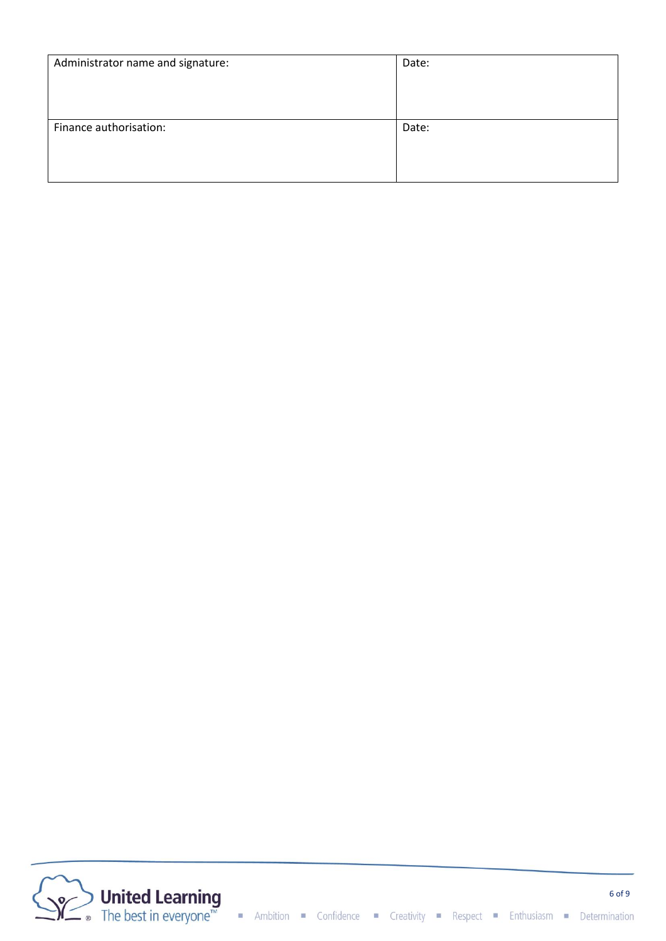| Administrator name and signature: | Date: |
|-----------------------------------|-------|
| Finance authorisation:            | Date: |

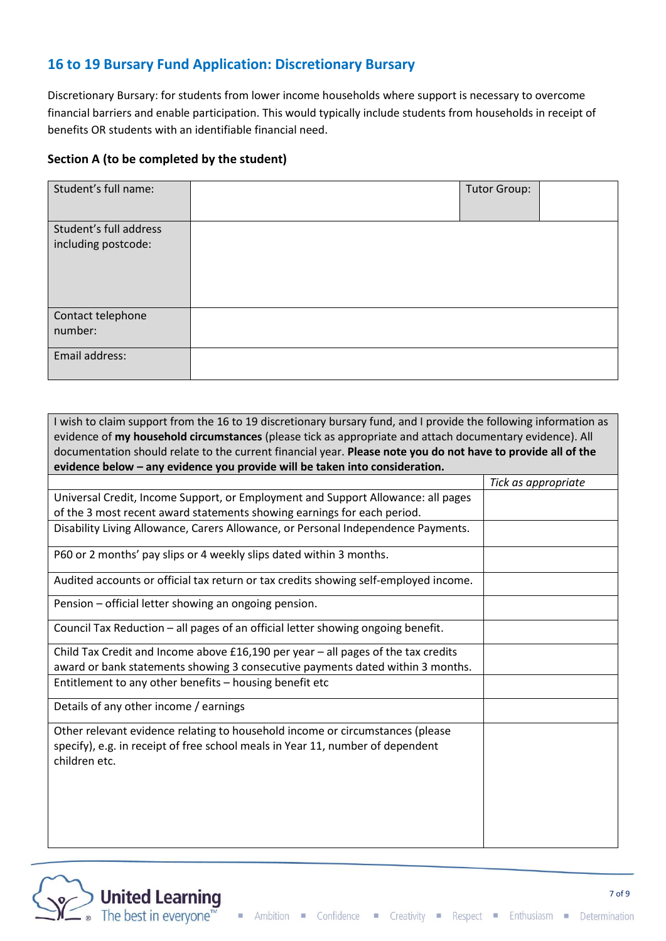# **16 to 19 Bursary Fund Application: Discretionary Bursary**

Discretionary Bursary: for students from lower income households where support is necessary to overcome financial barriers and enable participation. This would typically include students from households in receipt of benefits OR students with an identifiable financial need.

#### **Section A (to be completed by the student)**

| Student's full name:                          | <b>Tutor Group:</b> |  |
|-----------------------------------------------|---------------------|--|
| Student's full address<br>including postcode: |                     |  |
| Contact telephone<br>number:                  |                     |  |
| Email address:                                |                     |  |

| I wish to claim support from the 16 to 19 discretionary bursary fund, and I provide the following information as                                                                 |                     |  |  |
|----------------------------------------------------------------------------------------------------------------------------------------------------------------------------------|---------------------|--|--|
| evidence of my household circumstances (please tick as appropriate and attach documentary evidence). All                                                                         |                     |  |  |
| documentation should relate to the current financial year. Please note you do not have to provide all of the                                                                     |                     |  |  |
| evidence below - any evidence you provide will be taken into consideration.                                                                                                      |                     |  |  |
|                                                                                                                                                                                  | Tick as appropriate |  |  |
| Universal Credit, Income Support, or Employment and Support Allowance: all pages                                                                                                 |                     |  |  |
| of the 3 most recent award statements showing earnings for each period.                                                                                                          |                     |  |  |
| Disability Living Allowance, Carers Allowance, or Personal Independence Payments.                                                                                                |                     |  |  |
| P60 or 2 months' pay slips or 4 weekly slips dated within 3 months.                                                                                                              |                     |  |  |
| Audited accounts or official tax return or tax credits showing self-employed income.                                                                                             |                     |  |  |
| Pension - official letter showing an ongoing pension.                                                                                                                            |                     |  |  |
| Council Tax Reduction - all pages of an official letter showing ongoing benefit.                                                                                                 |                     |  |  |
| Child Tax Credit and Income above $£16,190$ per year $-$ all pages of the tax credits                                                                                            |                     |  |  |
| award or bank statements showing 3 consecutive payments dated within 3 months.                                                                                                   |                     |  |  |
| Entitlement to any other benefits - housing benefit etc                                                                                                                          |                     |  |  |
| Details of any other income / earnings                                                                                                                                           |                     |  |  |
| Other relevant evidence relating to household income or circumstances (please<br>specify), e.g. in receipt of free school meals in Year 11, number of dependent<br>children etc. |                     |  |  |

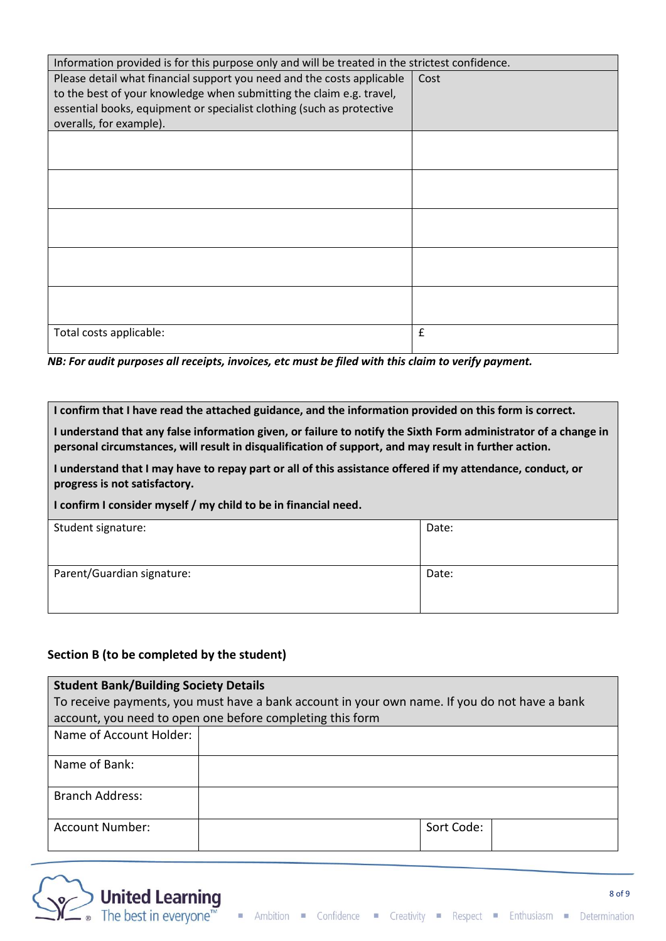| Information provided is for this purpose only and will be treated in the strictest confidence.                                                                                                                                                     |      |
|----------------------------------------------------------------------------------------------------------------------------------------------------------------------------------------------------------------------------------------------------|------|
| Please detail what financial support you need and the costs applicable<br>to the best of your knowledge when submitting the claim e.g. travel,<br>essential books, equipment or specialist clothing (such as protective<br>overalls, for example). | Cost |
|                                                                                                                                                                                                                                                    |      |
|                                                                                                                                                                                                                                                    |      |
|                                                                                                                                                                                                                                                    |      |
|                                                                                                                                                                                                                                                    |      |
|                                                                                                                                                                                                                                                    |      |
| Total costs applicable:                                                                                                                                                                                                                            | £    |

*NB: For audit purposes all receipts, invoices, etc must be filed with this claim to verify payment.*

**I confirm that I have read the attached guidance, and the information provided on this form is correct.**

**I understand that any false information given, or failure to notify the Sixth Form administrator of a change in personal circumstances, will result in disqualification of support, and may result in further action.**

**I understand that I may have to repay part or all of this assistance offered if my attendance, conduct, or progress is not satisfactory.**

**I confirm I consider myself / my child to be in financial need.**

| Student signature:         | Date: |
|----------------------------|-------|
| Parent/Guardian signature: | Date: |

### **Section B (to be completed by the student)**

| <b>Student Bank/Building Society Details</b>                                                  |            |  |
|-----------------------------------------------------------------------------------------------|------------|--|
| To receive payments, you must have a bank account in your own name. If you do not have a bank |            |  |
| account, you need to open one before completing this form                                     |            |  |
| Name of Account Holder:                                                                       |            |  |
| Name of Bank:                                                                                 |            |  |
| <b>Branch Address:</b>                                                                        |            |  |
| Account Number:                                                                               | Sort Code: |  |